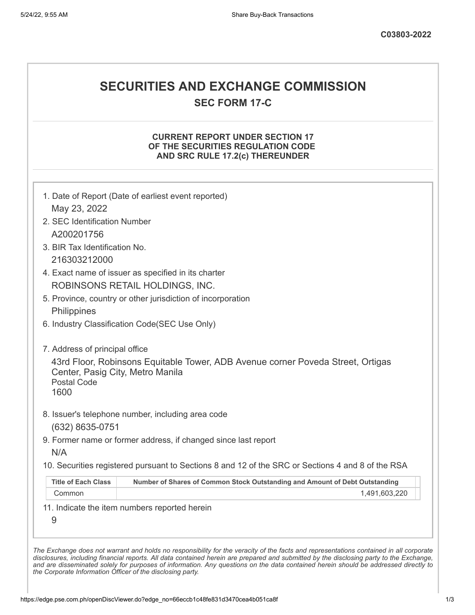# **SECURITIES AND EXCHANGE COMMISSION**

**SEC FORM 17-C**

### **CURRENT REPORT UNDER SECTION 17 OF THE SECURITIES REGULATION CODE AND SRC RULE 17.2(c) THEREUNDER**

| May 23, 2022                                                   | 1. Date of Report (Date of earliest event reported)                                               |
|----------------------------------------------------------------|---------------------------------------------------------------------------------------------------|
| 2. SEC Identification Number                                   |                                                                                                   |
| A200201756                                                     |                                                                                                   |
| 3. BIR Tax Identification No.                                  |                                                                                                   |
| 216303212000                                                   |                                                                                                   |
|                                                                | 4. Exact name of issuer as specified in its charter                                               |
|                                                                | ROBINSONS RETAIL HOLDINGS, INC.                                                                   |
|                                                                | 5. Province, country or other jurisdiction of incorporation                                       |
| Philippines                                                    |                                                                                                   |
|                                                                | 6. Industry Classification Code(SEC Use Only)                                                     |
| 7. Address of principal office                                 |                                                                                                   |
| Center, Pasig City, Metro Manila<br><b>Postal Code</b><br>1600 | 43rd Floor, Robinsons Equitable Tower, ADB Avenue corner Poveda Street, Ortigas                   |
|                                                                | 8. Issuer's telephone number, including area code                                                 |
| (632) 8635-0751                                                |                                                                                                   |
|                                                                | 9. Former name or former address, if changed since last report                                    |
|                                                                |                                                                                                   |
| N/A                                                            | 10. Securities registered pursuant to Sections 8 and 12 of the SRC or Sections 4 and 8 of the RSA |
| <b>Title of Each Class</b>                                     | Number of Shares of Common Stock Outstanding and Amount of Debt Outstanding                       |
| Common                                                         | 1,491,603,220                                                                                     |

*the Corporate Information Officer of the disclosing party.*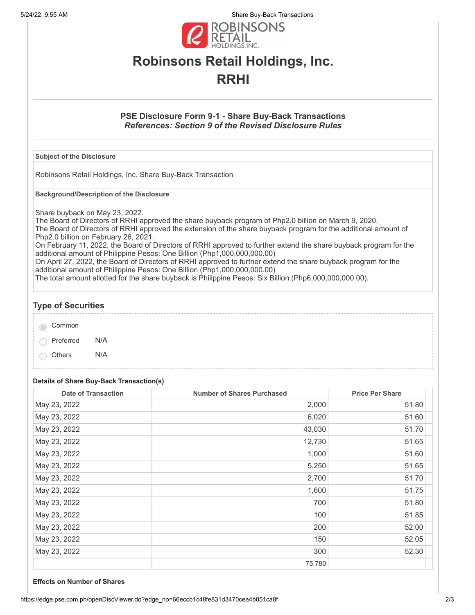5/24/22, 9:55 AM Share Buy-Back Transactions



# **Robinsons Retail Holdings, Inc. RRHI**

### **PSE Disclosure Form 9-1 - Share Buy-Back Transactions** *References: Section 9 of the Revised Disclosure Rules*

#### **Subject of the Disclosure**

Robinsons Retail Holdings, Inc. Share Buy-Back Transaction

**Background/Description of the Disclosure**

Share buyback on May 23, 2022.

The Board of Directors of RRHI approved the share buyback program of Php2.0 billion on March 9, 2020. The Board of Directors of RRHI approved the extension of the share buyback program for the additional amount of Php2.0 billion on February 26, 2021.

On February 11, 2022, the Board of Directors of RRHI approved to further extend the share buyback program for the additional amount of Philippine Pesos: One Billion (Php1,000,000,000.00)

On April 27, 2022, the Board of Directors of RRHI approved to further extend the share buyback program for the additional amount of Philippine Pesos: One Billion (Php1,000,000,000.00)

The total amount allotted for the share buyback is Philippine Pesos: Six Billion (Php6,000,000,000.00).

### **Type of Securities**

| Common |  |
|--------|--|
|        |  |

Preferred N/A

Others N/A

#### **Details of Share Buy-Back Transaction(s)**

| <b>Date of Transaction</b> | <b>Number of Shares Purchased</b> | <b>Price Per Share</b> |
|----------------------------|-----------------------------------|------------------------|
| May 23, 2022               | 2,000                             | 51.80                  |
| May 23, 2022               | 6,020                             | 51.60                  |
| May 23, 2022               | 43,030                            | 51.70                  |
| May 23, 2022               | 12,730                            | 51.65                  |
| May 23, 2022               | 1,000                             | 51.60                  |
| May 23, 2022               | 5,250                             | 51.65                  |
| May 23, 2022               | 2,700                             | 51.70                  |
| May 23, 2022               | 1,600                             | 51.75                  |
| May 23, 2022               | 700                               | 51.80                  |
| May 23, 2022               | 100                               | 51.85                  |
| May 23, 2022               | 200                               | 52.00                  |
| May 23, 2022               | 150                               | 52.05                  |
| May 23, 2022               | 300                               | 52.30                  |
|                            | 75,780                            |                        |

#### **Effects on Number of Shares**